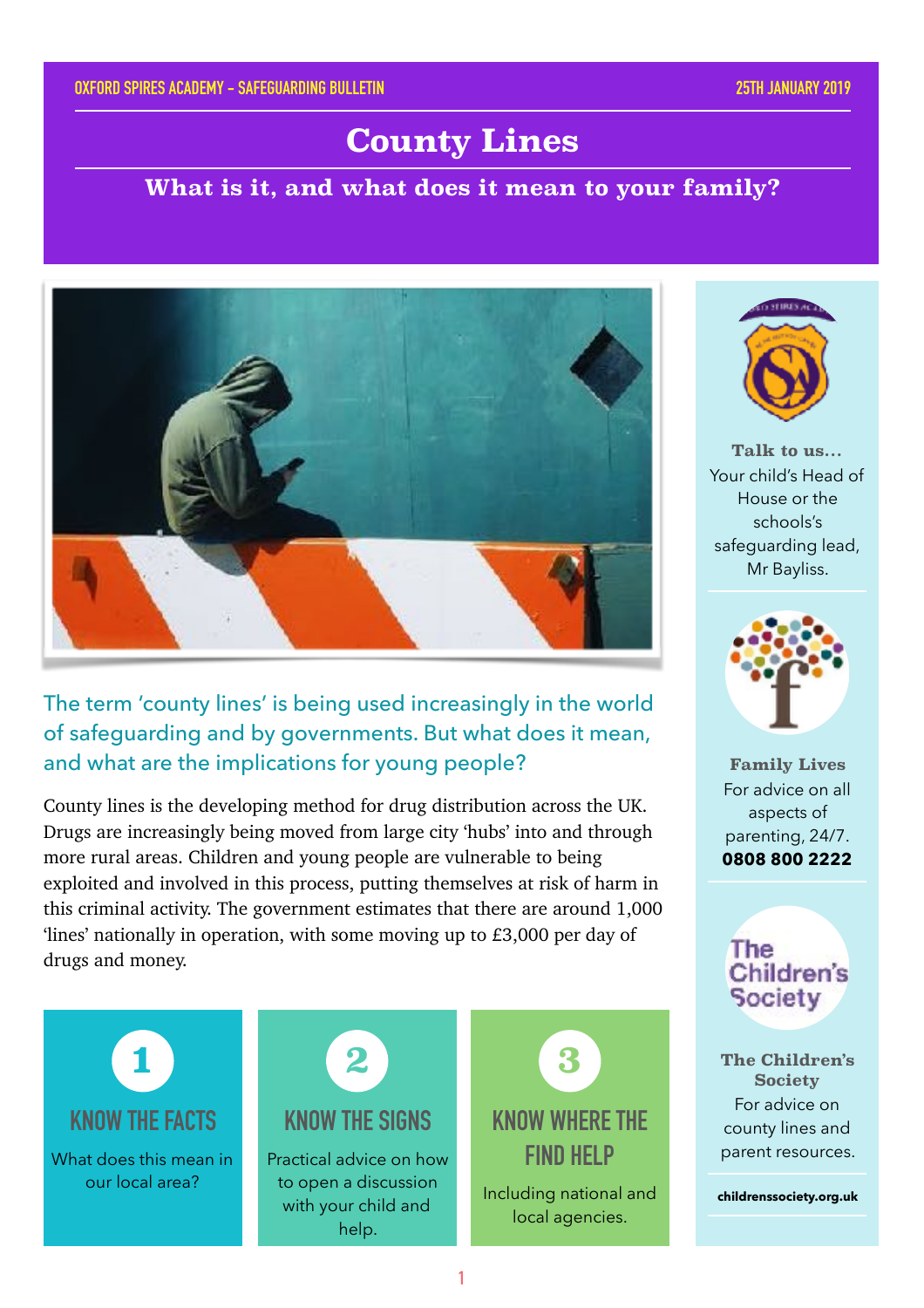# **County Lines**

#### **What is it, and what does it mean to your family?**



The term 'county lines' is being used increasingly in the world of safeguarding and by governments. But what does it mean, and what are the implications for young people?

County lines is the developing method for drug distribution across the UK. Drugs are increasingly being moved from large city 'hubs' into and through more rural areas. Children and young people are vulnerable to being exploited and involved in this process, putting themselves at risk of harm in this criminal activity. The government estimates that there are around 1,000 'lines' nationally in operation, with some moving up to £3,000 per day of drugs and money.





**Talk to us…** Your child's Head of House or the schools's safeguarding lead, Mr Bayliss.



**Family Lives** For advice on all aspects of parenting, 24/7. **0808 800 2222**

**The Children's Society** 

**The Children's Society** For advice on county lines and parent resources.

**childrenssociety.org.uk**